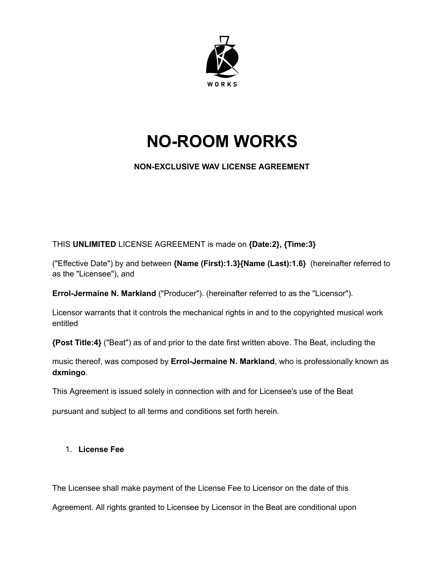

# **NO-ROOM WORKS**

## **NON-EXCLUSIVE WAV LICENSE AGREEMENT**

THIS **UNLIMITED** LICENSE AGREEMENT is made on **{Date:2}, {Time:3}**

("Effective Date") by and between **{Name (First):1.3}{Name (Last):1.6}** (hereinafter referred to as the "Licensee"), and

**Errol-Jermaine N. Markland** ("Producer"). (hereinafter referred to as the "Licensor").

Licensor warrants that it controls the mechanical rights in and to the copyrighted musical work entitled

**{Post Title:4}** ("Beat") as of and prior to the date first written above. The Beat, including the

music thereof, was composed by **Errol-Jermaine N. Markland**, who is professionally known as **dxmingo**.

This Agreement is issued solely in connection with and for Licensee's use of the Beat

pursuant and subject to all terms and conditions set forth herein.

## 1. **License Fee**

The Licensee shall make payment of the License Fee to Licensor on the date of this

Agreement. All rights granted to Licensee by Licensor in the Beat are conditional upon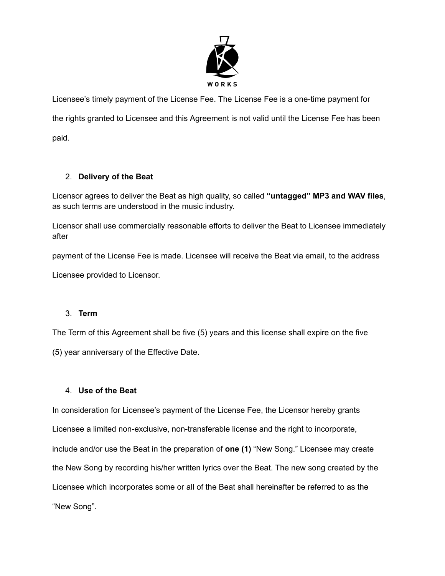

Licensee's timely payment of the License Fee. The License Fee is a one-time payment for the rights granted to Licensee and this Agreement is not valid until the License Fee has been paid.

## 2. **Delivery of the Beat**

Licensor agrees to deliver the Beat as high quality, so called **"untagged" MP3 and WAV files**, as such terms are understood in the music industry.

Licensor shall use commercially reasonable efforts to deliver the Beat to Licensee immediately after

payment of the License Fee is made. Licensee will receive the Beat via email, to the address

Licensee provided to Licensor.

## 3. **Term**

The Term of this Agreement shall be five (5) years and this license shall expire on the five

(5) year anniversary of the Effective Date.

## 4. **Use of the Beat**

In consideration for Licensee's payment of the License Fee, the Licensor hereby grants Licensee a limited non-exclusive, non-transferable license and the right to incorporate, include and/or use the Beat in the preparation of **one (1)** "New Song." Licensee may create the New Song by recording his/her written lyrics over the Beat. The new song created by the Licensee which incorporates some or all of the Beat shall hereinafter be referred to as the "New Song".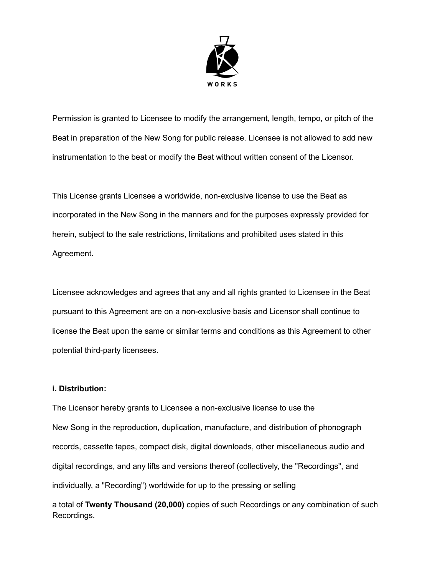

Permission is granted to Licensee to modify the arrangement, length, tempo, or pitch of the Beat in preparation of the New Song for public release. Licensee is not allowed to add new instrumentation to the beat or modify the Beat without written consent of the Licensor.

This License grants Licensee a worldwide, non-exclusive license to use the Beat as incorporated in the New Song in the manners and for the purposes expressly provided for herein, subject to the sale restrictions, limitations and prohibited uses stated in this Agreement.

Licensee acknowledges and agrees that any and all rights granted to Licensee in the Beat pursuant to this Agreement are on a non-exclusive basis and Licensor shall continue to license the Beat upon the same or similar terms and conditions as this Agreement to other potential third-party licensees.

#### **i. Distribution:**

The Licensor hereby grants to Licensee a non-exclusive license to use the New Song in the reproduction, duplication, manufacture, and distribution of phonograph records, cassette tapes, compact disk, digital downloads, other miscellaneous audio and digital recordings, and any lifts and versions thereof (collectively, the "Recordings", and individually, a "Recording") worldwide for up to the pressing or selling

a total of **Twenty Thousand (20,000)** copies of such Recordings or any combination of such Recordings.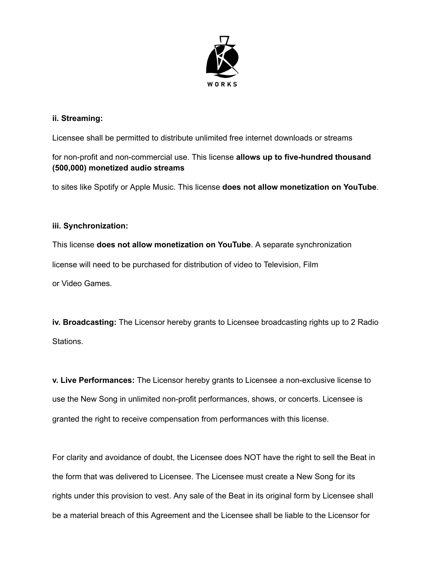

#### **ii. Streaming:**

Licensee shall be permitted to distribute unlimited free internet downloads or streams

for non-profit and non-commercial use. This license **allows up to five-hundred thousand (500,000) monetized audio streams**

to sites like Spotify or Apple Music. This license **does not allow monetization on YouTube**.

#### **iii. Synchronization:**

This license **does not allow monetization on YouTube**. A separate synchronization license will need to be purchased for distribution of video to Television, Film or Video Games.

**iv. Broadcasting:** The Licensor hereby grants to Licensee broadcasting rights up to 2 Radio Stations.

**v. Live Performances:** The Licensor hereby grants to Licensee a non-exclusive license to use the New Song in unlimited non-profit performances, shows, or concerts. Licensee is granted the right to receive compensation from performances with this license.

For clarity and avoidance of doubt, the Licensee does NOT have the right to sell the Beat in the form that was delivered to Licensee. The Licensee must create a New Song for its rights under this provision to vest. Any sale of the Beat in its original form by Licensee shall be a material breach of this Agreement and the Licensee shall be liable to the Licensor for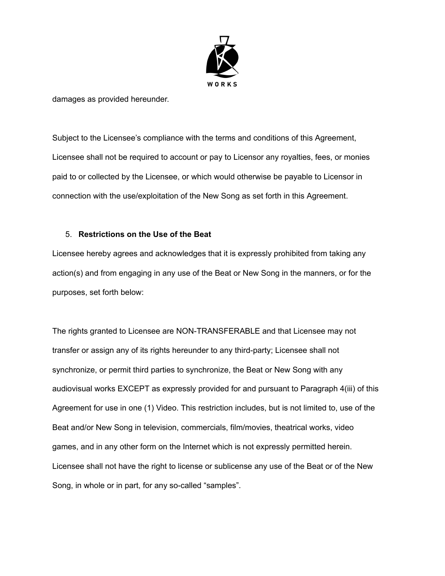

damages as provided hereunder.

Subject to the Licensee's compliance with the terms and conditions of this Agreement, Licensee shall not be required to account or pay to Licensor any royalties, fees, or monies paid to or collected by the Licensee, or which would otherwise be payable to Licensor in connection with the use/exploitation of the New Song as set forth in this Agreement.

#### 5. **Restrictions on the Use of the Beat**

Licensee hereby agrees and acknowledges that it is expressly prohibited from taking any action(s) and from engaging in any use of the Beat or New Song in the manners, or for the purposes, set forth below:

The rights granted to Licensee are NON-TRANSFERABLE and that Licensee may not transfer or assign any of its rights hereunder to any third-party; Licensee shall not synchronize, or permit third parties to synchronize, the Beat or New Song with any audiovisual works EXCEPT as expressly provided for and pursuant to Paragraph 4(iii) of this Agreement for use in one (1) Video. This restriction includes, but is not limited to, use of the Beat and/or New Song in television, commercials, film/movies, theatrical works, video games, and in any other form on the Internet which is not expressly permitted herein. Licensee shall not have the right to license or sublicense any use of the Beat or of the New Song, in whole or in part, for any so-called "samples".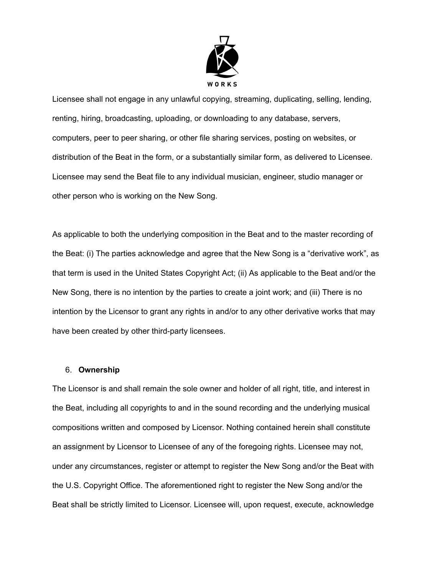

Licensee shall not engage in any unlawful copying, streaming, duplicating, selling, lending, renting, hiring, broadcasting, uploading, or downloading to any database, servers, computers, peer to peer sharing, or other file sharing services, posting on websites, or distribution of the Beat in the form, or a substantially similar form, as delivered to Licensee. Licensee may send the Beat file to any individual musician, engineer, studio manager or other person who is working on the New Song.

As applicable to both the underlying composition in the Beat and to the master recording of the Beat: (i) The parties acknowledge and agree that the New Song is a "derivative work", as that term is used in the United States Copyright Act; (ii) As applicable to the Beat and/or the New Song, there is no intention by the parties to create a joint work; and (iii) There is no intention by the Licensor to grant any rights in and/or to any other derivative works that may have been created by other third-party licensees.

#### 6. **Ownership**

The Licensor is and shall remain the sole owner and holder of all right, title, and interest in the Beat, including all copyrights to and in the sound recording and the underlying musical compositions written and composed by Licensor. Nothing contained herein shall constitute an assignment by Licensor to Licensee of any of the foregoing rights. Licensee may not, under any circumstances, register or attempt to register the New Song and/or the Beat with the U.S. Copyright Office. The aforementioned right to register the New Song and/or the Beat shall be strictly limited to Licensor. Licensee will, upon request, execute, acknowledge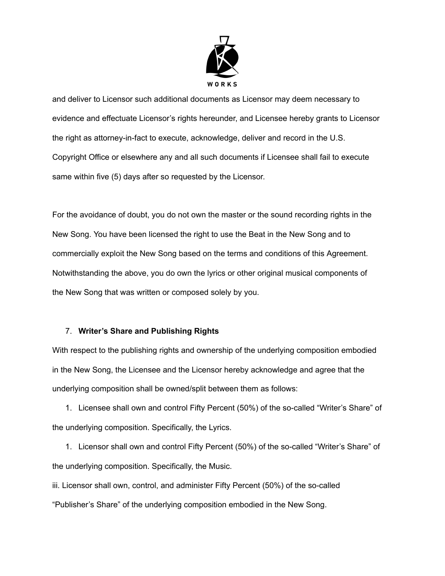

and deliver to Licensor such additional documents as Licensor may deem necessary to evidence and effectuate Licensor's rights hereunder, and Licensee hereby grants to Licensor the right as attorney-in-fact to execute, acknowledge, deliver and record in the U.S. Copyright Office or elsewhere any and all such documents if Licensee shall fail to execute same within five (5) days after so requested by the Licensor.

For the avoidance of doubt, you do not own the master or the sound recording rights in the New Song. You have been licensed the right to use the Beat in the New Song and to commercially exploit the New Song based on the terms and conditions of this Agreement. Notwithstanding the above, you do own the lyrics or other original musical components of the New Song that was written or composed solely by you.

#### 7. **Writer's Share and Publishing Rights**

With respect to the publishing rights and ownership of the underlying composition embodied in the New Song, the Licensee and the Licensor hereby acknowledge and agree that the underlying composition shall be owned/split between them as follows:

1. Licensee shall own and control Fifty Percent (50%) of the so-called "Writer's Share" of the underlying composition. Specifically, the Lyrics.

1. Licensor shall own and control Fifty Percent (50%) of the so-called "Writer's Share" of the underlying composition. Specifically, the Music.

iii. Licensor shall own, control, and administer Fifty Percent (50%) of the so-called "Publisher's Share" of the underlying composition embodied in the New Song.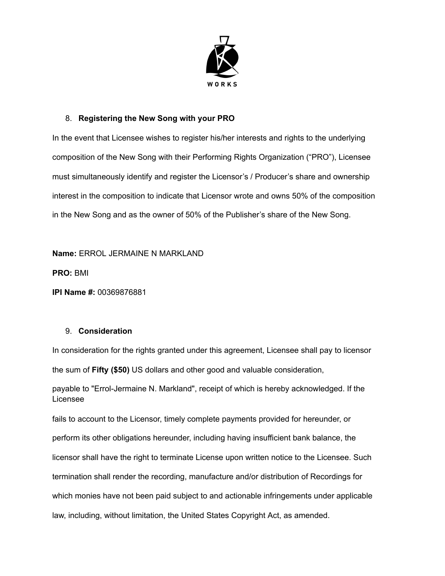

## 8. **Registering the New Song with your PRO**

In the event that Licensee wishes to register his/her interests and rights to the underlying composition of the New Song with their Performing Rights Organization ("PRO"), Licensee must simultaneously identify and register the Licensor's / Producer's share and ownership interest in the composition to indicate that Licensor wrote and owns 50% of the composition in the New Song and as the owner of 50% of the Publisher's share of the New Song.

**Name:** ERROL JERMAINE N MARKLAND

**PRO:** BMI

**IPI Name #:** 00369876881

#### 9. **Consideration**

In consideration for the rights granted under this agreement, Licensee shall pay to licensor the sum of **Fifty (\$50)** US dollars and other good and valuable consideration,

payable to "Errol-Jermaine N. Markland", receipt of which is hereby acknowledged. If the Licensee

fails to account to the Licensor, timely complete payments provided for hereunder, or perform its other obligations hereunder, including having insufficient bank balance, the licensor shall have the right to terminate License upon written notice to the Licensee. Such termination shall render the recording, manufacture and/or distribution of Recordings for which monies have not been paid subject to and actionable infringements under applicable law, including, without limitation, the United States Copyright Act, as amended.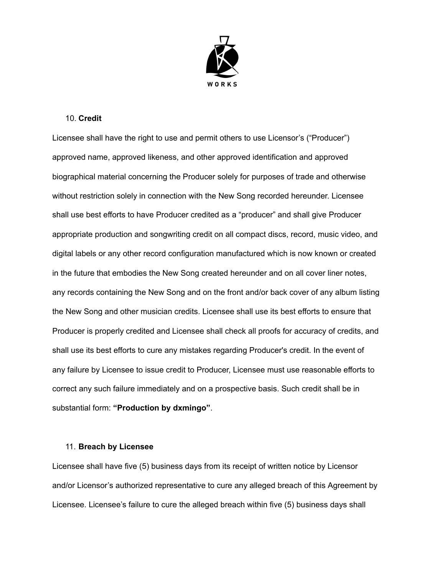

#### 10. **Credit**

Licensee shall have the right to use and permit others to use Licensor's ("Producer") approved name, approved likeness, and other approved identification and approved biographical material concerning the Producer solely for purposes of trade and otherwise without restriction solely in connection with the New Song recorded hereunder. Licensee shall use best efforts to have Producer credited as a "producer" and shall give Producer appropriate production and songwriting credit on all compact discs, record, music video, and digital labels or any other record configuration manufactured which is now known or created in the future that embodies the New Song created hereunder and on all cover liner notes, any records containing the New Song and on the front and/or back cover of any album listing the New Song and other musician credits. Licensee shall use its best efforts to ensure that Producer is properly credited and Licensee shall check all proofs for accuracy of credits, and shall use its best efforts to cure any mistakes regarding Producer's credit. In the event of any failure by Licensee to issue credit to Producer, Licensee must use reasonable efforts to correct any such failure immediately and on a prospective basis. Such credit shall be in substantial form: **"Production by dxmingo"**.

#### 11. **Breach by Licensee**

Licensee shall have five (5) business days from its receipt of written notice by Licensor and/or Licensor's authorized representative to cure any alleged breach of this Agreement by Licensee. Licensee's failure to cure the alleged breach within five (5) business days shall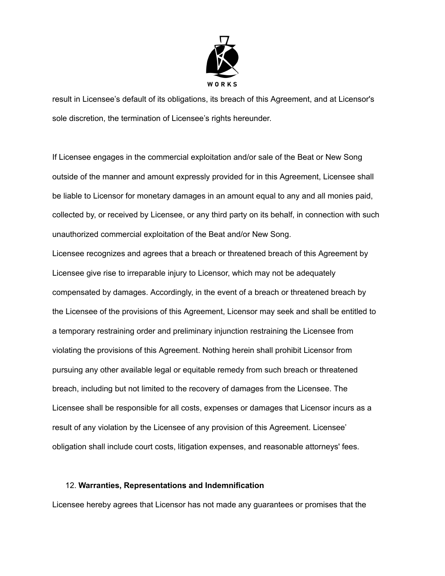

result in Licensee's default of its obligations, its breach of this Agreement, and at Licensor's sole discretion, the termination of Licensee's rights hereunder.

If Licensee engages in the commercial exploitation and/or sale of the Beat or New Song outside of the manner and amount expressly provided for in this Agreement, Licensee shall be liable to Licensor for monetary damages in an amount equal to any and all monies paid, collected by, or received by Licensee, or any third party on its behalf, in connection with such unauthorized commercial exploitation of the Beat and/or New Song.

Licensee recognizes and agrees that a breach or threatened breach of this Agreement by Licensee give rise to irreparable injury to Licensor, which may not be adequately compensated by damages. Accordingly, in the event of a breach or threatened breach by the Licensee of the provisions of this Agreement, Licensor may seek and shall be entitled to a temporary restraining order and preliminary injunction restraining the Licensee from violating the provisions of this Agreement. Nothing herein shall prohibit Licensor from pursuing any other available legal or equitable remedy from such breach or threatened breach, including but not limited to the recovery of damages from the Licensee. The Licensee shall be responsible for all costs, expenses or damages that Licensor incurs as a result of any violation by the Licensee of any provision of this Agreement. Licensee' obligation shall include court costs, litigation expenses, and reasonable attorneys' fees.

#### 12. **Warranties, Representations and Indemnification**

Licensee hereby agrees that Licensor has not made any guarantees or promises that the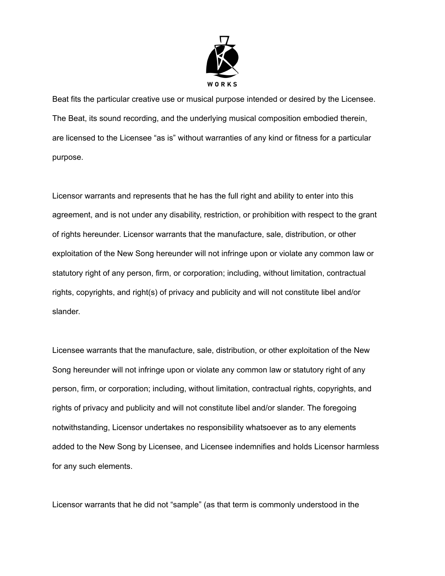

Beat fits the particular creative use or musical purpose intended or desired by the Licensee. The Beat, its sound recording, and the underlying musical composition embodied therein, are licensed to the Licensee "as is" without warranties of any kind or fitness for a particular purpose.

Licensor warrants and represents that he has the full right and ability to enter into this agreement, and is not under any disability, restriction, or prohibition with respect to the grant of rights hereunder. Licensor warrants that the manufacture, sale, distribution, or other exploitation of the New Song hereunder will not infringe upon or violate any common law or statutory right of any person, firm, or corporation; including, without limitation, contractual rights, copyrights, and right(s) of privacy and publicity and will not constitute libel and/or slander.

Licensee warrants that the manufacture, sale, distribution, or other exploitation of the New Song hereunder will not infringe upon or violate any common law or statutory right of any person, firm, or corporation; including, without limitation, contractual rights, copyrights, and rights of privacy and publicity and will not constitute libel and/or slander. The foregoing notwithstanding, Licensor undertakes no responsibility whatsoever as to any elements added to the New Song by Licensee, and Licensee indemnifies and holds Licensor harmless for any such elements.

Licensor warrants that he did not "sample" (as that term is commonly understood in the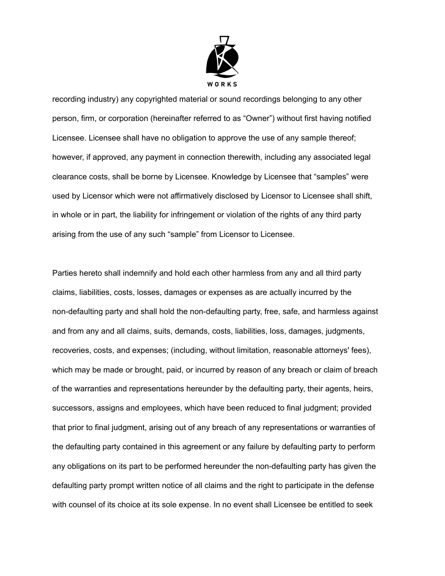

recording industry) any copyrighted material or sound recordings belonging to any other person, firm, or corporation (hereinafter referred to as "Owner") without first having notified Licensee. Licensee shall have no obligation to approve the use of any sample thereof; however, if approved, any payment in connection therewith, including any associated legal clearance costs, shall be borne by Licensee. Knowledge by Licensee that "samples" were used by Licensor which were not affirmatively disclosed by Licensor to Licensee shall shift, in whole or in part, the liability for infringement or violation of the rights of any third party arising from the use of any such "sample" from Licensor to Licensee.

Parties hereto shall indemnify and hold each other harmless from any and all third party claims, liabilities, costs, losses, damages or expenses as are actually incurred by the non-defaulting party and shall hold the non-defaulting party, free, safe, and harmless against and from any and all claims, suits, demands, costs, liabilities, loss, damages, judgments, recoveries, costs, and expenses; (including, without limitation, reasonable attorneys' fees), which may be made or brought, paid, or incurred by reason of any breach or claim of breach of the warranties and representations hereunder by the defaulting party, their agents, heirs, successors, assigns and employees, which have been reduced to final judgment; provided that prior to final judgment, arising out of any breach of any representations or warranties of the defaulting party contained in this agreement or any failure by defaulting party to perform any obligations on its part to be performed hereunder the non-defaulting party has given the defaulting party prompt written notice of all claims and the right to participate in the defense with counsel of its choice at its sole expense. In no event shall Licensee be entitled to seek